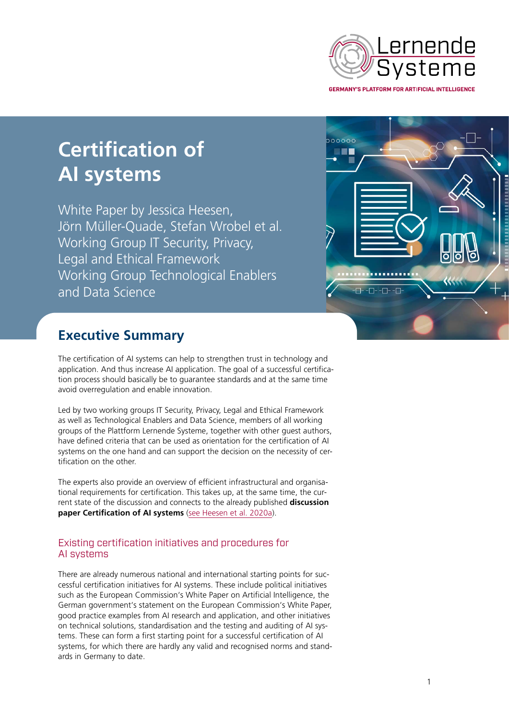

# **Certification of AI systems**

White Paper by Jessica Heesen, Jörn Müller-Quade, Stefan Wrobel et al. Working Group IT Security, Privacy, Legal and Ethical Framework Working Group Technological Enablers and Data Science



# **Executive Summary**

The certification of AI systems can help to strengthen trust in technology and application. And thus increase AI application. The goal of a successful certification process should basically be to guarantee standards and at the same time avoid overregulation and enable innovation.

Led by two working groups IT Security, Privacy, Legal and Ethical Framework as well as Technological Enablers and Data Science, members of all working groups of the Plattform Lernende Systeme, together with other guest authors, have defined criteria that can be used as orientation for the certification of AI systems on the one hand and can support the decision on the necessity of certification on the other.

The experts also provide an overview of efficient infrastructural and organisational requirements for certification. This takes up, at the same time, the current state of the discussion and connects to the already published **discussion paper Certification of AI systems** ([see Heesen et al. 2020a](https://www.plattform-lernende-systeme.de/files/Downloads/Publikationen_EN/AG3_Discussion_Paper_200507.pdf)).

## Existing certification initiatives and procedures for AI systems

There are already numerous national and international starting points for successful certification initiatives for AI systems. These include political initiatives such as the European Commission's White Paper on Artificial Intelligence, the German government's statement on the European Commission's White Paper, good practice examples from AI research and application, and other initiatives on technical solutions, standardisation and the testing and auditing of AI systems. These can form a first starting point for a successful certification of AI systems, for which there are hardly any valid and recognised norms and standards in Germany to date.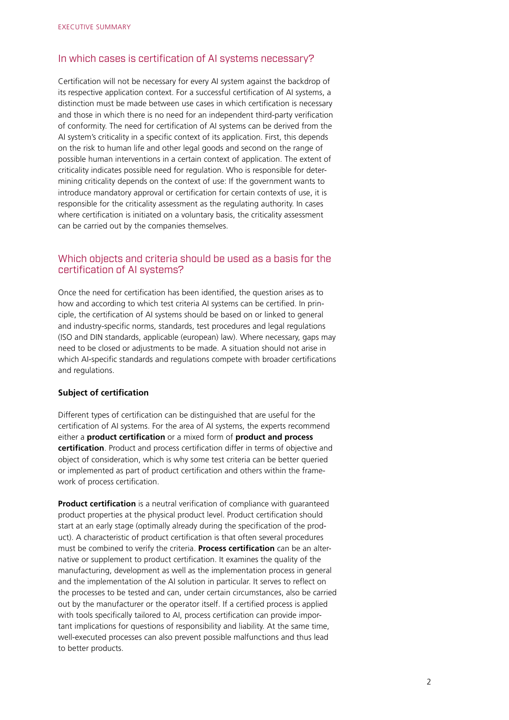#### In which cases is certification of AI systems necessary?

Certification will not be necessary for every AI system against the backdrop of its respective application context. For a successful certification of AI systems, a distinction must be made between use cases in which certification is necessary and those in which there is no need for an independent third-party verification of conformity. The need for certification of AI systems can be derived from the AI system's criticality in a specific context of its application. First, this depends on the risk to human life and other legal goods and second on the range of possible human interventions in a certain context of application. The extent of criticality indicates possible need for regulation. Who is responsible for determining criticality depends on the context of use: If the government wants to introduce mandatory approval or certification for certain contexts of use, it is responsible for the criticality assessment as the regulating authority. In cases where certification is initiated on a voluntary basis, the criticality assessment can be carried out by the companies themselves.

#### Which objects and criteria should be used as a basis for the certification of AI systems?

Once the need for certification has been identified, the question arises as to how and according to which test criteria AI systems can be certified. In principle, the certification of AI systems should be based on or linked to general and industry-specific norms, standards, test procedures and legal regulations (ISO and DIN standards, applicable (european) law). Where necessary, gaps may need to be closed or adjustments to be made. A situation should not arise in which AI-specific standards and regulations compete with broader certifications and regulations.

#### **Subject of certification**

Different types of certification can be distinguished that are useful for the certification of AI systems. For the area of AI systems, the experts recommend either a **product certification** or a mixed form of **product and process certification**. Product and process certification differ in terms of objective and object of consideration, which is why some test criteria can be better queried or implemented as part of product certification and others within the framework of process certification.

**Product certification** is a neutral verification of compliance with quaranteed product properties at the physical product level. Product certification should start at an early stage (optimally already during the specification of the product). A characteristic of product certification is that often several procedures must be combined to verify the criteria. **Process certification** can be an alternative or supplement to product certification. It examines the quality of the manufacturing, development as well as the implementation process in general and the implementation of the AI solution in particular. It serves to reflect on the processes to be tested and can, under certain circumstances, also be carried out by the manufacturer or the operator itself. If a certified process is applied with tools specifically tailored to AI, process certification can provide important implications for questions of responsibility and liability. At the same time, well-executed processes can also prevent possible malfunctions and thus lead to better products.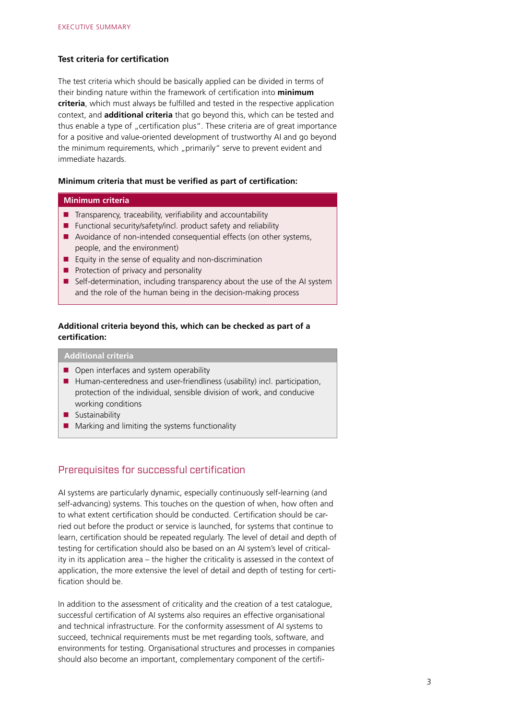#### **Test criteria for certification**

The test criteria which should be basically applied can be divided in terms of their binding nature within the framework of certification into **minimum criteria**, which must always be fulfilled and tested in the respective application context, and **additional criteria** that go beyond this, which can be tested and thus enable a type of "certification plus". These criteria are of great importance for a positive and value-oriented development of trustworthy AI and go beyond the minimum requirements, which "primarily" serve to prevent evident and immediate hazards.

#### **Minimum criteria that must be verified as part of certification:**

#### **Minimum criteria**

- $\blacksquare$  Transparency, traceability, verifiability and accountability
- Functional security/safety/incl. product safety and reliability
- Avoidance of non-intended consequential effects (on other systems, people, and the environment)
- Equity in the sense of equality and non-discrimination
- $\blacksquare$  Protection of privacy and personality
- Self-determination, including transparency about the use of the AI system and the role of the human being in the decision-making process

#### **Additional criteria beyond this, which can be checked as part of a certification:**

### **Additional criteria**

- Open interfaces and system operability
- Human-centeredness and user-friendliness (usability) incl. participation, protection of the individual, sensible division of work, and conducive working conditions
- **Sustainability**
- $\blacksquare$  Marking and limiting the systems functionality

#### Prerequisites for successful certification

AI systems are particularly dynamic, especially continuously self-learning (and self-advancing) systems. This touches on the question of when, how often and to what extent certification should be conducted. Certification should be carried out before the product or service is launched, for systems that continue to learn, certification should be repeated regularly. The level of detail and depth of testing for certification should also be based on an AI system's level of criticality in its application area – the higher the criticality is assessed in the context of application, the more extensive the level of detail and depth of testing for certification should be.

In addition to the assessment of criticality and the creation of a test catalogue, successful certification of AI systems also requires an effective organisational and technical infrastructure. For the conformity assessment of AI systems to succeed, technical requirements must be met regarding tools, software, and environments for testing. Organisational structures and processes in companies should also become an important, complementary component of the certifi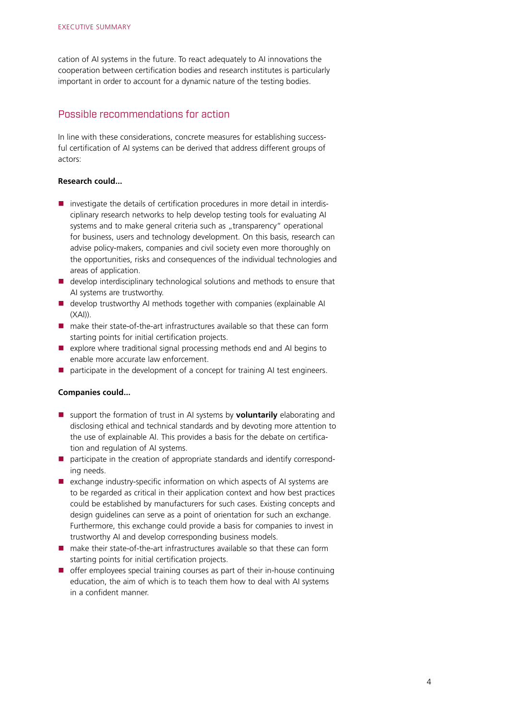cation of AI systems in the future. To react adequately to AI innovations the cooperation between certification bodies and research institutes is particularly important in order to account for a dynamic nature of the testing bodies.

#### Possible recommendations for action

In line with these considerations, concrete measures for establishing successful certification of AI systems can be derived that address different groups of actors:

#### **Research could...**

- $\blacksquare$  investigate the details of certification procedures in more detail in interdisciplinary research networks to help develop testing tools for evaluating AI systems and to make general criteria such as "transparency" operational for business, users and technology development. On this basis, research can advise policy-makers, companies and civil society even more thoroughly on the opportunities, risks and consequences of the individual technologies and areas of application.
- develop interdisciplinary technological solutions and methods to ensure that AI systems are trustworthy.
- **develop trustworthy AI methods together with companies (explainable AI** (XAI)).
- $\blacksquare$  make their state-of-the-art infrastructures available so that these can form starting points for initial certification projects.
- explore where traditional signal processing methods end and AI begins to enable more accurate law enforcement.
- participate in the development of a concept for training AI test engineers.

#### **Companies could...**

- support the formation of trust in AI systems by **voluntarily** elaborating and disclosing ethical and technical standards and by devoting more attention to the use of explainable AI. This provides a basis for the debate on certification and regulation of AI systems.
- $\blacksquare$  participate in the creation of appropriate standards and identify corresponding needs.
- exchange industry-specific information on which aspects of AI systems are to be regarded as critical in their application context and how best practices could be established by manufacturers for such cases. Existing concepts and design guidelines can serve as a point of orientation for such an exchange. Furthermore, this exchange could provide a basis for companies to invest in trustworthy AI and develop corresponding business models.
- make their state-of-the-art infrastructures available so that these can form starting points for initial certification projects.
- offer employees special training courses as part of their in-house continuing education, the aim of which is to teach them how to deal with AI systems in a confident manner.